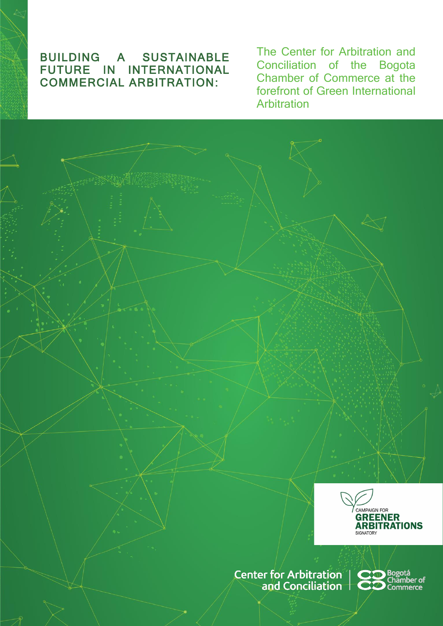## : FUTURE IN INTERNATIONAL BUILDING A SUSTAINABLE<br>FUTURE IN INTERNATIONAL COMMERCIAL ARBITRATION:

The Center for Arbitration and Conciliation of the Bogota Chamber of Commerce at the forefront of Green International **Arbitration** 



Center for Arbitration | CO Bogotá<br>
and Conciliation | CO Chamber of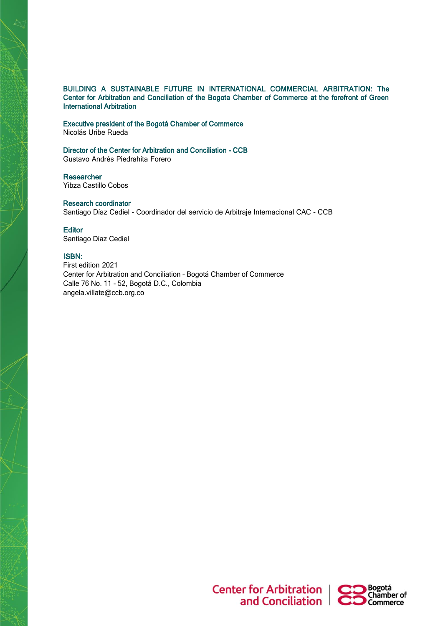### BUILDING A SUSTAINABLE FUTURE IN INTERNATIONAL COMMERCIAL ARBITRATION: The Center for Arbitration and Conciliation of the Bogota Chamber of Commerce at the forefront of Green International Arbitration

Executive president of the Bogotá Chamber of Commerce Nicolás Uribe Rueda

Director of the Center for Arbitration and Conciliation - CCB Gustavo Andrés Piedrahita Forero

**Researcher** Yibza Castillo Cobos

Research coordinator Santiago Díaz Cediel - Coordinador del servicio de Arbitraje Internacional CAC - CCB

**Editor** Santiago Díaz Cediel

### ISBN:

First edition 2021 Center for Arbitration and Conciliation – Bogotá Chamber of Commerce Calle 76 No. 11 - 52, Bogotá D.C., Colombia [angela.villate@ccb.org.co](mailto:angela.villate@ccb.org.co)



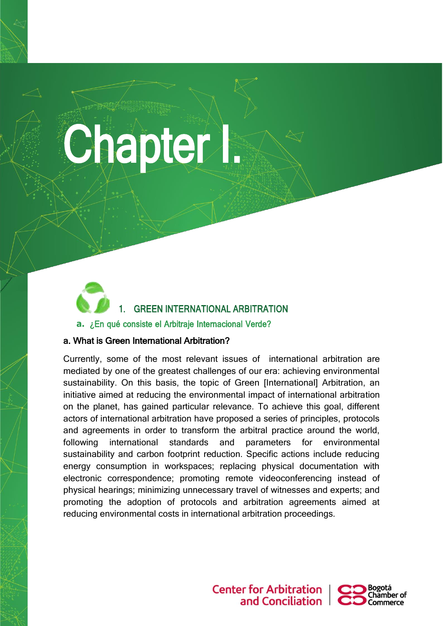# **Chapter I.**

## 1. GREEN INTERNATIONAL ARBITRATION **a.** ¿En qué consiste el Arbitraje Internacional Verde?

## a. What is Green International Arbitration?

ŀ

Currently, some of the most relevant issues of international arbitration are mediated by one of the greatest challenges of our era: achieving environmental sustainability. On this basis, the topic of Green [International] Arbitration, an initiative aimed at reducing the environmental impact of international arbitration on the planet, has gained particular relevance. To achieve this goal, different actors of international arbitration have proposed a series of principles, protocols and agreements in order to transform the arbitral practice around the world, following international standards and parameters for environmental sustainability and carbon footprint reduction. Specific actions include reducing energy consumption in workspaces; replacing physical documentation with electronic correspondence; promoting remote videoconferencing instead of physical hearings; minimizing unnecessary travel of witnesses and experts; and promoting the adoption of protocols and arbitration agreements aimed at reducing environmental costs in international arbitration proceedings.

> **Center for Arbitration** and Conciliation

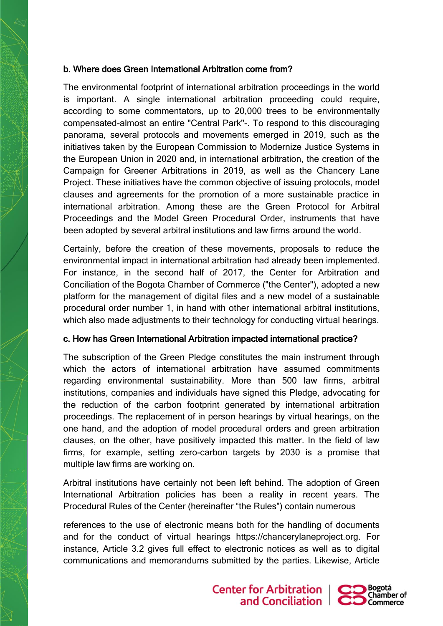## b. Where does Green International Arbitration come from?

The environmental footprint of international arbitration proceedings in the world is important. A single international arbitration proceeding could require, according to some commentators, up to 20,000 trees to be environmentally compensated-almost an entire "Central Park"-. To respond to this discouraging panorama, several protocols and movements emerged in 2019, such as the initiatives taken by the European Commission to Modernize Justice Systems in the European Union in 2020 and, in international arbitration, the creation of the Campaign for Greener Arbitrations in 2019, as well as the Chancery Lane Project. These initiatives have the common objective of issuing protocols, model clauses and agreements for the promotion of a more sustainable practice in international arbitration. Among these are the Green Protocol for Arbitral Proceedings and the Model Green Procedural Order, instruments that have been adopted by several arbitral institutions and law firms around the world.

Certainly, before the creation of these movements, proposals to reduce the environmental impact in international arbitration had already been implemented. For instance, in the second half of 2017, the Center for Arbitration and Conciliation of the Bogota Chamber of Commerce ("the Center"), adopted a new platform for the management of digital files and a new model of a sustainable procedural order number 1, in hand with other international arbitral institutions, which also made adjustments to their technology for conducting virtual hearings.

## c. How has Green International Arbitration impacted international practice?

The subscription of the Green Pledge constitutes the main instrument through which the actors of international arbitration have assumed commitments regarding environmental sustainability. More than 500 law firms, arbitral institutions, companies and individuals have signed this Pledge, advocating for the reduction of the carbon footprint generated by international arbitration proceedings. The replacement of in person hearings by virtual hearings, on the one hand, and the adoption of model procedural orders and green arbitration clauses, on the other, have positively impacted this matter. In the field of law firms, for example, setting zero-carbon targets by 2030 is a promise that multiple law firms are working on.

Arbitral institutions have certainly not been left behind. The adoption of Green International Arbitration policies has been a reality in recent years. The Procedural Rules of the Center (hereinafter "the Rules") contain numerous

references to the use of electronic means both for the handling of documents and for the conduct of virtual hearings https://chancerylaneproject.org. For instance, Article 3.2 gives full effect to electronic notices as well as to digital communications and memorandums submitted by the parties. Likewise, Article

> **Center for Arbitration** and Conciliation  $\Box$   $\Box$

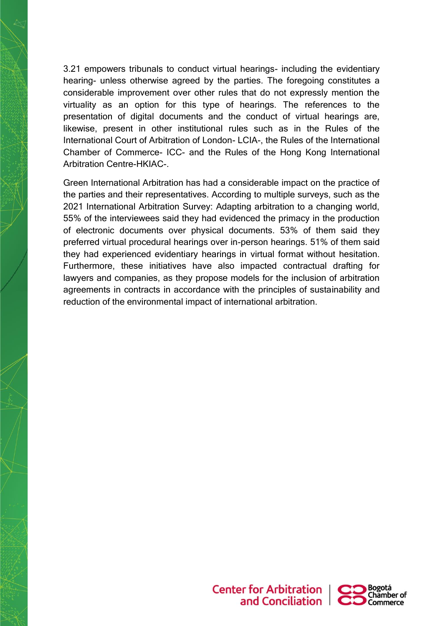3.21 empowers tribunals to conduct virtual hearings- including the evidentiary hearing- unless otherwise agreed by the parties. The foregoing constitutes a considerable improvement over other rules that do not expressly mention the virtuality as an option for this type of hearings. The references to the presentation of digital documents and the conduct of virtual hearings are, likewise, present in other institutional rules such as in the Rules of the International Court of Arbitration of London- LCIA-, the Rules of the International Chamber of Commerce- ICC- and the Rules of the Hong Kong International Arbitration Centre-HKIAC-.

Green International Arbitration has had a considerable impact on the practice of the parties and their representatives. According to multiple surveys, such as the 2021 International Arbitration Survey: Adapting arbitration to a changing world, 55% of the interviewees said they had evidenced the primacy in the production of electronic documents over physical documents. 53% of them said they preferred virtual procedural hearings over in-person hearings. 51% of them said they had experienced evidentiary hearings in virtual format without hesitation. Furthermore, these initiatives have also impacted contractual drafting for lawyers and companies, as they propose models for the inclusion of arbitration agreements in contracts in accordance with the principles of sustainability and reduction of the environmental impact of international arbitration.



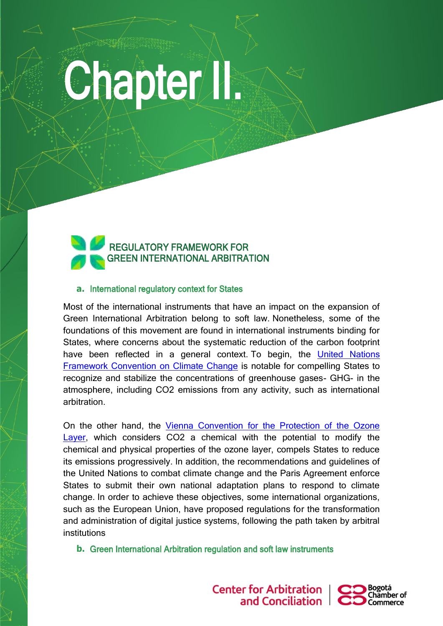# **Chapter II.**



## **a.** International regulatory context for States

Most of the international instruments that have an impact on the expansion of Green International Arbitration belong to soft law. Nonetheless, some of the foundations of this movement are found in international instruments binding for States, where concerns about the systematic reduction of the carbon footprint have been reflected in a general context. To begin, the [United Nations](https://unfccc.int/resource/docs/convkp/conveng.pdf)  [Framework Convention on Climate Change](https://unfccc.int/resource/docs/convkp/conveng.pdf) is notable for compelling States to recognize and stabilize the concentrations of greenhouse gases- GHG- in the atmosphere, including CO2 emissions from any activity, such as international arbitration.

On the other hand, the [Vienna Convention for the Protection of the Ozone](https://ozone.unep.org/treaties/vienna-convention/vienna-convention-protection-ozone-layer)  [Layer,](https://ozone.unep.org/treaties/vienna-convention/vienna-convention-protection-ozone-layer) which considers CO2 a chemical with the potential to modify the chemical and physical properties of the ozone layer, compels States to reduce its emissions progressively. In addition, the recommendations and guidelines of the United Nations to combat climate change and the Paris Agreement enforce States to submit their own national adaptation plans to respond to climate change. In order to achieve these objectives, some international organizations, such as the European Union, have proposed regulations for the transformation and administration of digital justice systems, following the path taken by arbitral institutions

**b.** Green International Arbitration regulation and soft law instruments



**Center for Arbitration** and Conciliation

ŀ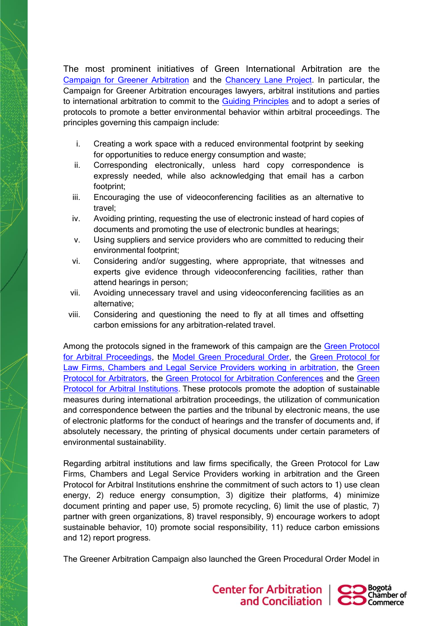The most prominent initiatives of Green International Arbitration are the [Campaign for Greener Arbitration](https://www.greenerarbitrations.com/) and the [Chancery Lane Project.](https://chancerylaneproject.org/) In particular, the Campaign for Greener Arbitration encourages lawyers, arbitral institutions and parties to international arbitration to commit to the [Guiding Principles](https://www.greenerarbitrations.com/greenpledge) and to adopt a series of protocols to promote a better environmental behavior within arbitral proceedings. The principles governing this campaign include:

- i. Creating a work space with a reduced environmental footprint by seeking for opportunities to reduce energy consumption and waste;
- ii. Corresponding electronically, unless hard copy correspondence is expressly needed, while also acknowledging that email has a carbon footprint;
- iii. Encouraging the use of videoconferencing facilities as an alternative to travel;
- iv. Avoiding printing, requesting the use of electronic instead of hard copies of documents and promoting the use of electronic bundles at hearings;
- v. Using suppliers and service providers who are committed to reducing their environmental footprint;
- vi. Considering and/or suggesting, where appropriate, that witnesses and experts give evidence through videoconferencing facilities, rather than attend hearings in person;
- vii. Avoiding unnecessary travel and using videoconferencing facilities as an alternative;
- viii. Considering and questioning the need to fly at all times and offsetting carbon emissions for any arbitration-related travel.

Among the protocols signed in the framework of this campaign are the [Green Protocol](https://www.greenerarbitrations.com/green-protocols/arbitral-proceedings)  [for Arbitral Proceedings,](https://www.greenerarbitrations.com/green-protocols/arbitral-proceedings) the [Model Green Procedural Order,](https://www.greenerarbitrations.com/green-protocols/model-green-procedural-order) the [Green Protocol for](https://www.greenerarbitrations.com/green-protocols/law-firms-chambers-legal-service-providers)  [Law Firms, Chambers and Legal Service Providers working in arbitration,](https://www.greenerarbitrations.com/green-protocols/law-firms-chambers-legal-service-providers) the Green [Protocol for Arbitrators,](https://www.greenerarbitrations.com/green-protocols/arbitrators) the [Green Protocol for Arbitration Conferences](https://www.greenerarbitrations.com/green-protocols/arbitration-conferences) and the [Green](https://www.greenerarbitrations.com/green-protocols/arbitration-institutions)  [Protocol for Arbitral Institutions.](https://www.greenerarbitrations.com/green-protocols/arbitration-institutions) These protocols promote the adoption of sustainable measures during international arbitration proceedings, the utilization of communication and correspondence between the parties and the tribunal by electronic means, the use of electronic platforms for the conduct of hearings and the transfer of documents and, if absolutely necessary, the printing of physical documents under certain parameters of environmental sustainability.

Regarding arbitral institutions and law firms specifically, the Green Protocol for Law Firms, Chambers and Legal Service Providers working in arbitration and the Green Protocol for Arbitral Institutions enshrine the commitment of such actors to 1) use clean energy, 2) reduce energy consumption, 3) digitize their platforms, 4) minimize document printing and paper use, 5) promote recycling, 6) limit the use of plastic, 7) partner with green organizations, 8) travel responsibly, 9) encourage workers to adopt sustainable behavior, 10) promote social responsibility, 11) reduce carbon emissions and 12) report progress.

The Greener Arbitration Campaign also launched the Green Procedural Order Model in

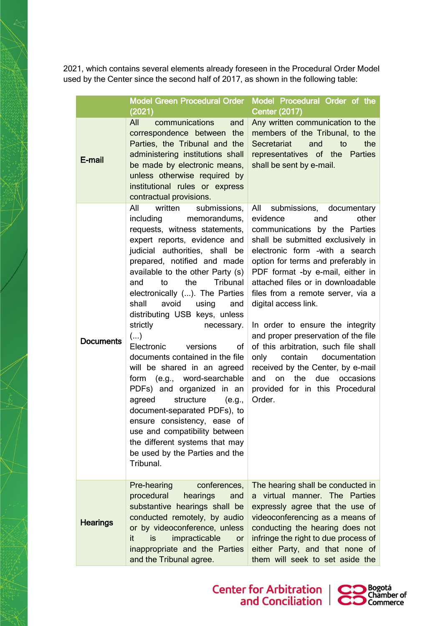2021, which contains several elements already foreseen in the Procedural Order Model used by the Center since the second half of 2017, as shown in the following table:

|  |                  | <b>Model Green Procedural Order</b>                                                                                                                                                                                                                                                                                                                                                                                                                                                                                                                                                                                                                                                                                                                                                            | Model Procedural Order of the                                                                                                                                                                                                                                                                                                                                                                                                                                                                                                                                                                                                    |
|--|------------------|------------------------------------------------------------------------------------------------------------------------------------------------------------------------------------------------------------------------------------------------------------------------------------------------------------------------------------------------------------------------------------------------------------------------------------------------------------------------------------------------------------------------------------------------------------------------------------------------------------------------------------------------------------------------------------------------------------------------------------------------------------------------------------------------|----------------------------------------------------------------------------------------------------------------------------------------------------------------------------------------------------------------------------------------------------------------------------------------------------------------------------------------------------------------------------------------------------------------------------------------------------------------------------------------------------------------------------------------------------------------------------------------------------------------------------------|
|  |                  | (2021)                                                                                                                                                                                                                                                                                                                                                                                                                                                                                                                                                                                                                                                                                                                                                                                         | <b>Center (2017)</b>                                                                                                                                                                                                                                                                                                                                                                                                                                                                                                                                                                                                             |
|  | E-mail           | All<br>communications<br>and<br>correspondence between the<br>Parties, the Tribunal and the<br>administering institutions shall<br>be made by electronic means,<br>unless otherwise required by<br>institutional rules or express<br>contractual provisions.                                                                                                                                                                                                                                                                                                                                                                                                                                                                                                                                   | Any written communication to the<br>members of the Tribunal, to the<br>Secretariat<br>the<br>and<br>to<br>representatives of the<br><b>Parties</b><br>shall be sent by e-mail.                                                                                                                                                                                                                                                                                                                                                                                                                                                   |
|  | <b>Documents</b> | All<br>written<br>submissions,<br>including<br>memorandums,<br>requests, witness statements,<br>expert reports, evidence and<br>judicial authorities, shall be<br>prepared, notified and made<br>available to the other Party (s)<br>the<br>Tribunal<br>and<br>to<br>electronically (). The Parties<br>avoid<br>shall<br>using<br>and<br>distributing USB keys, unless<br>strictly<br>necessary.<br>$(\ldots)$<br>Electronic<br>versions<br>οf<br>documents contained in the file<br>will be shared in an agreed<br>form (e.g., word-searchable<br>PDFs) and organized in an<br>agreed<br>structure<br>(e.g.,<br>document-separated PDFs), to<br>ensure consistency, ease of<br>use and compatibility between<br>the different systems that may<br>be used by the Parties and the<br>Tribunal. | All<br>submissions, documentary<br>other<br>evidence<br>and<br>communications by the Parties<br>shall be submitted exclusively in<br>electronic form -with a search<br>option for terms and preferably in<br>PDF format -by e-mail, either in<br>attached files or in downloadable<br>files from a remote server, via a<br>digital access link.<br>In order to ensure the integrity<br>and proper preservation of the file<br>of this arbitration, such file shall<br>contain<br>only<br>documentation<br>received by the Center, by e-mail<br>the<br>due<br>and<br>on<br>occasions<br>provided for in this Procedural<br>Order. |
|  | <b>Hearings</b>  | Pre-hearing<br>conferences,<br>procedural<br>hearings<br>and<br>substantive hearings shall be<br>conducted remotely, by audio<br>or by videoconference, unless<br>is<br>impracticable<br>it.<br><b>or</b><br>inappropriate and the Parties<br>and the Tribunal agree.                                                                                                                                                                                                                                                                                                                                                                                                                                                                                                                          | The hearing shall be conducted in<br>virtual manner. The Parties<br>a<br>expressly agree that the use of<br>videoconferencing as a means of<br>conducting the hearing does not<br>infringe the right to due process of<br>either Party, and that none of<br>them will seek to set aside the                                                                                                                                                                                                                                                                                                                                      |

Center for Arbitration | CO Bogotá<br>and Conciliation | CO Commerce

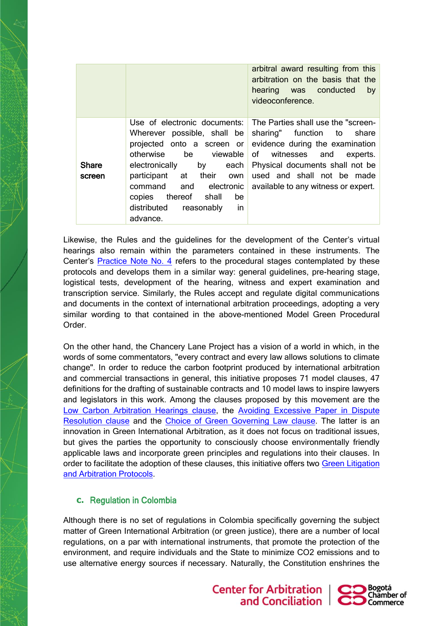|                        |                                                                                                                                                                                                                                                                           | arbitral award resulting from this<br>arbitration on the basis that the<br>hearing was conducted<br>by<br>videoconference.                                                                                                                              |
|------------------------|---------------------------------------------------------------------------------------------------------------------------------------------------------------------------------------------------------------------------------------------------------------------------|---------------------------------------------------------------------------------------------------------------------------------------------------------------------------------------------------------------------------------------------------------|
| <b>Share</b><br>screen | Use of electronic documents:<br>Wherever possible, shall be<br>projected onto a screen or<br>otherwise<br>by each<br>electronically<br>participant at their own<br>command and electronic<br>copies thereof<br>shall<br>be<br>in<br>distributed<br>reasonably<br>advance. | The Parties shall use the "screen-<br>sharing" function to share<br>evidence during the examination<br>be viewable of witnesses and<br>experts.<br>Physical documents shall not be<br>used and shall not be made<br>available to any witness or expert. |

Likewise, the Rules and the guidelines for the development of the Center's virtual hearings also remain within the parameters contained in these instruments. The Center's **[Practice Note No. 4](https://www.centroarbitrajeconciliacion.com/Arbitraje-Internacional)** refers to the procedural stages contemplated by these protocols and develops them in a similar way: general guidelines, pre-hearing stage, logistical tests, development of the hearing, witness and expert examination and transcription service. Similarly, the Rules accept and regulate digital communications and documents in the context of international arbitration proceedings, adopting a very similar wording to that contained in the above-mentioned Model Green Procedural Order.

On the other hand, the Chancery Lane Project has a vision of a world in which, in the words of some commentators, "every contract and every law allows solutions to climate change". In order to reduce the carbon footprint produced by international arbitration and commercial transactions in general, this initiative proposes 71 model clauses, 47 definitions for the drafting of sustainable contracts and 10 model laws to inspire lawyers and legislators in this work. Among the clauses proposed by this movement are the [Low Carbon Arbitration Hearings clause,](https://chancerylaneproject.org/climate-clauses/low-carbon-arbitration-hearings/) the Avoiding Excessive Paper in Dispute [Resolution clause](https://chancerylaneproject.org/climate-clauses/avoidance-of-excessive-paperwork-in-dispute-resolution/) and the [Choice of Green Governing Law clause.](https://chancerylaneproject.org/climate-clauses/choice-of-green-governing-law-clause/) The latter is an innovation in Green International Arbitration, as it does not focus on traditional issues, but gives the parties the opportunity to consciously choose environmentally friendly applicable laws and incorporate green principles and regulations into their clauses. In order to facilitate the adoption of these clauses, this initiative offers two [Green Litigation](https://chancerylaneproject.org/climate-clauses/green-litigation-and-arbitration-protocols/)  [and Arbitration Protocols.](https://chancerylaneproject.org/climate-clauses/green-litigation-and-arbitration-protocols/)

## **c.** Regulation in Colombia

Although there is no set of regulations in Colombia specifically governing the subject matter of Green International Arbitration (or green justice), there are a number of local regulations, on a par with international instruments, that promote the protection of the environment, and require individuals and the State to minimize CO2 emissions and to use alternative energy sources if necessary. Naturally, the Constitution enshrines the



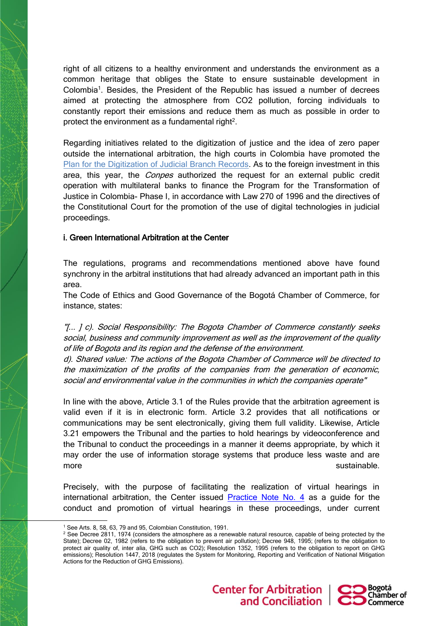right of all citizens to a healthy environment and understands the environment as a common heritage that obliges the State to ensure sustainable development in Colombia<sup>1</sup>. Besides, the President of the Republic has issued a number of decrees aimed at protecting the atmosphere from CO2 pollution, forcing individuals to constantly report their emissions and reduce them as much as possible in order to protect the environment as a fundamental right<sup>2</sup>.

Regarding initiatives related to the digitization of justice and the idea of zero paper outside the international arbitration, the high courts in Colombia have promoted the [Plan for the Digitization of Judicial Branch Records.](https://actosadministrativos.ramajudicial.gov.co/GetFile.ashx?url=~/App_Data/Upload/PCSJC20-32Anexo.pdf) As to the foreign investment in this area, this year, the *Conpes* authorized the request for an external public credit operation with multilateral banks to finance the Program for the Transformation of Justice in Colombia- Phase I, in accordance with Law 270 of 1996 and the directives of the Constitutional Court for the promotion of the use of digital technologies in judicial proceedings.

## i. Green International Arbitration at the Center

The regulations, programs and recommendations mentioned above have found synchrony in the arbitral institutions that had already advanced an important path in this area.

The Code of Ethics and Good Governance of the Bogotá Chamber of Commerce, for instance, states:

"[... ] c). Social Responsibility: The Bogota Chamber of Commerce constantly seeks social, business and community improvement as well as the improvement of the quality of life of Bogota and its region and the defense of the environment.

d). Shared value: The actions of the Bogota Chamber of Commerce will be directed to the maximization of the profits of the companies from the generation of economic, social and environmental value in the communities in which the companies operate"

In line with the above, Article 3.1 of the Rules provide that the arbitration agreement is valid even if it is in electronic form. Article 3.2 provides that all notifications or communications may be sent electronically, giving them full validity. Likewise, Article 3.21 empowers the Tribunal and the parties to hold hearings by videoconference and the Tribunal to conduct the proceedings in a manner it deems appropriate, by which it may order the use of information storage systems that produce less waste and are more sustainable.

Precisely, with the purpose of facilitating the realization of virtual hearings in international arbitration, the Center issued **[Practice Note No. 4](https://www.centroarbitrajeconciliacion.com/Arbitraje-Internacional)** as a guide for the conduct and promotion of virtual hearings in these proceedings, under current

**Center for Arbitration** 



<sup>1</sup> See Arts. 8, 58, 63, 79 and 95, Colombian Constitution, 1991.

<sup>&</sup>lt;sup>2</sup> See Decree 2811, 1974 (considers the atmosphere as a renewable natural resource, capable of being protected by the State); Decree 02, 1982 (refers to the obligation to prevent air pollution); Decree 948, 1995; (refers to the obligation to protect air quality of, inter alia, GHG such as CO2); Resolution 1352, 1995 (refers to the obligation to report on GHG emissions); Resolution 1447, 2018 (regulates the System for Monitoring, Reporting and Verification of National Mitigation Actions for the Reduction of GHG Emissions).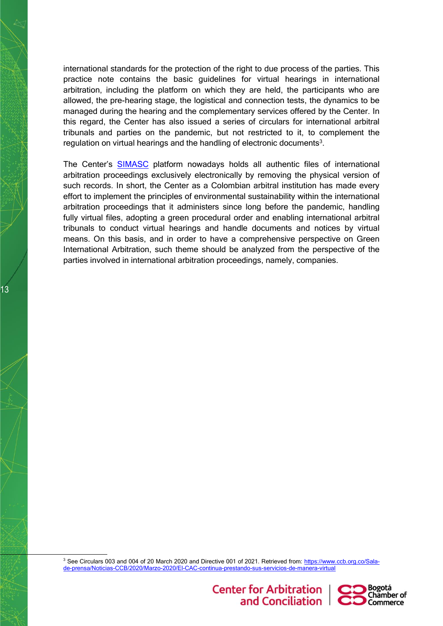international standards for the protection of the right to due process of the parties. This practice note contains the basic guidelines for virtual hearings in international arbitration, including the platform on which they are held, the participants who are allowed, the pre-hearing stage, the logistical and connection tests, the dynamics to be managed during the hearing and the complementary services offered by the Center. In this regard, the Center has also issued a series of circulars for international arbitral tribunals and parties on the pandemic, but not restricted to it, to complement the regulation on virtual hearings and the handling of electronic documents<sup>3</sup>.

The Center's [SIMASC](https://simasc.centroarbitrajeconciliacion.com/simasc/#/login) platform nowadays holds all authentic files of international arbitration proceedings exclusively electronically by removing the physical version of such records. In short, the Center as a Colombian arbitral institution has made every effort to implement the principles of environmental sustainability within the international arbitration proceedings that it administers since long before the pandemic, handling fully virtual files, adopting a green procedural order and enabling international arbitral tribunals to conduct virtual hearings and handle documents and notices by virtual means. On this basis, and in order to have a comprehensive perspective on Green International Arbitration, such theme should be analyzed from the perspective of the parties involved in international arbitration proceedings, namely, companies.

13

<sup>3</sup> See Circulars 003 and 004 of 20 March 2020 and Directive 001 of 2021. Retrieved from: [https://www.ccb.org.co/Sala](https://www.ccb.org.co/Sala-de-prensa/Noticias-CCB/2020/Marzo-2020/El-CAC-continua-prestando-sus-servicios-de-manera-virtual)[de-prensa/Noticias-CCB/2020/Marzo-2020/El-CAC-continua-prestando-sus-servicios-de-manera-virtual](https://www.ccb.org.co/Sala-de-prensa/Noticias-CCB/2020/Marzo-2020/El-CAC-continua-prestando-sus-servicios-de-manera-virtual)

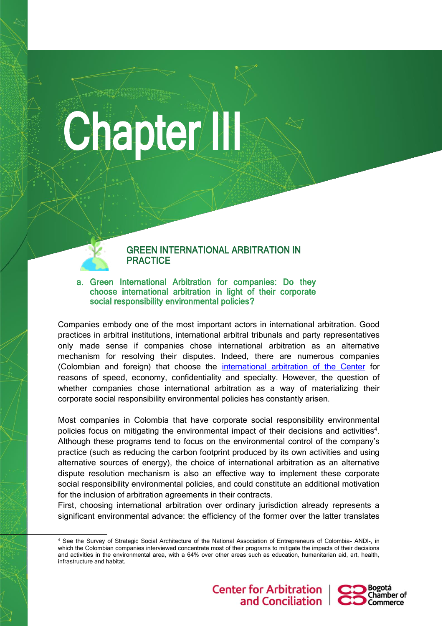# **Chapter III**



## a. Green International Arbitration for companies: Do they choose international arbitration in light of their corporate social responsibility environmental policies?

Companies embody one of the most important actors in international arbitration. Good practices in arbitral institutions, international arbitral tribunals and party representatives only made sense if companies chose international arbitration as an alternative mechanism for resolving their disputes. Indeed, there are numerous companies (Colombian and foreign) that choose the [international arbitration of the Center](https://www.centroarbitrajeconciliacion.com/Arbitraje-Internacional) for reasons of speed, economy, confidentiality and specialty. However, the question of whether companies chose international arbitration as a way of materializing their corporate social responsibility environmental policies has constantly arisen.

Most companies in Colombia that have corporate social responsibility environmental policies focus on mitigating the environmental impact of their decisions and activities<sup>4</sup>. Although these programs tend to focus on the environmental control of the company's practice (such as reducing the carbon footprint produced by its own activities and using alternative sources of energy), the choice of international arbitration as an alternative dispute resolution mechanism is also an effective way to implement these corporate social responsibility environmental policies, and could constitute an additional motivation for the inclusion of arbitration agreements in their contracts.

First, choosing international arbitration over ordinary jurisdiction already represents a significant environmental advance: the efficiency of the former over the latter translates

<sup>4</sup> See the Survey of Strategic Social Architecture of the National Association of Entrepreneurs of Colombia- ANDI-, in which the Colombian companies interviewed concentrate most of their programs to mitigate the impacts of their decisions and activities in the environmental area, with a 64% over other areas such as education, humanitarian aid, art, health, infrastructure and habitat.



ŀ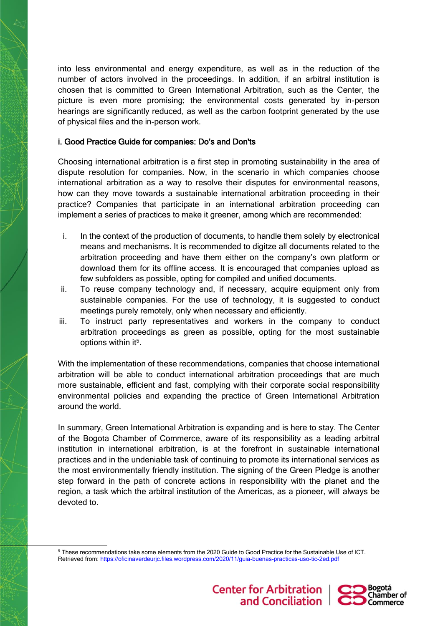into less environmental and energy expenditure, as well as in the reduction of the number of actors involved in the proceedings. In addition, if an arbitral institution is chosen that is committed to Green International Arbitration, such as the Center, the picture is even more promising; the environmental costs generated by in-person hearings are significantly reduced, as well as the carbon footprint generated by the use of physical files and the in-person work.

## i. Good Practice Guide for companies: Do's and Don'ts

Choosing international arbitration is a first step in promoting sustainability in the area of dispute resolution for companies. Now, in the scenario in which companies choose international arbitration as a way to resolve their disputes for environmental reasons, how can they move towards a sustainable international arbitration proceeding in their practice? Companies that participate in an international arbitration proceeding can implement a series of practices to make it greener, among which are recommended:

- i. In the context of the production of documents, to handle them solely by electronical means and mechanisms. It is recommended to digitze all documents related to the arbitration proceeding and have them either on the company's own platform or download them for its offline access. It is encouraged that companies upload as few subfolders as possible, opting for compiled and unified documents.
- ii. To reuse company technology and, if necessary, acquire equipment only from sustainable companies. For the use of technology, it is suggested to conduct meetings purely remotely, only when necessary and efficiently.
- iii. To instruct party representatives and workers in the company to conduct arbitration proceedings as green as possible, opting for the most sustainable options within it<sup>5</sup>.

With the implementation of these recommendations, companies that choose international arbitration will be able to conduct international arbitration proceedings that are much more sustainable, efficient and fast, complying with their corporate social responsibility environmental policies and expanding the practice of Green International Arbitration around the world.

In summary, Green International Arbitration is expanding and is here to stay. The Center of the Bogota Chamber of Commerce, aware of its responsibility as a leading arbitral institution in international arbitration, is at the forefront in sustainable international practices and in the undeniable task of continuing to promote its international services as the most environmentally friendly institution. The signing of the Green Pledge is another step forward in the path of concrete actions in responsibility with the planet and the region, a task which the arbitral institution of the Americas, as a pioneer, will always be devoted to.

<sup>5</sup> These recommendations take some elements from the 2020 Guide to Good Practice for the Sustainable Use of ICT. Retrieved from:<https://oficinaverdeurjc.files.wordpress.com/2020/11/guia-buenas-practicas-uso-tic-2ed.pdf>

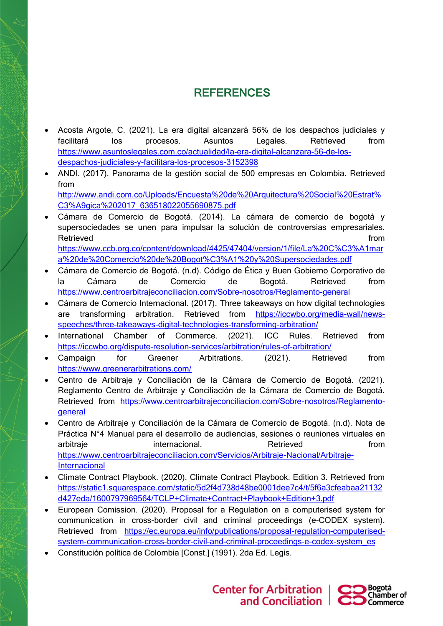## REFERENCES

- Acosta Argote, C. (2021). La era digital alcanzará 56% de los despachos judiciales y facilitará los procesos. Asuntos Legales. Retrieved from [https://www.asuntoslegales.com.co/actualidad/la-era-digital-alcanzara-56-de-los](https://www.asuntoslegales.com.co/actualidad/la-era-digital-alcanzara-56-de-los-despachos-judiciales-y-facilitara-los-procesos-3152398)[despachos-judiciales-y-facilitara-los-procesos-3152398](https://www.asuntoslegales.com.co/actualidad/la-era-digital-alcanzara-56-de-los-despachos-judiciales-y-facilitara-los-procesos-3152398)
- ANDI. (2017). Panorama de la gestión social de 500 empresas en Colombia. Retrieved from [http://www.andi.com.co/Uploads/Encuesta%20de%20Arquitectura%20Social%20Estrat%](http://www.andi.com.co/Uploads/Encuesta%20de%20Arquitectura%20Social%20Estrat%C3%A9gica%202017_636518022055690875.pdf)

[C3%A9gica%202017\\_636518022055690875.pdf](http://www.andi.com.co/Uploads/Encuesta%20de%20Arquitectura%20Social%20Estrat%C3%A9gica%202017_636518022055690875.pdf)

- Cámara de Comercio de Bogotá. (2014). La cámara de comercio de bogotá y supersociedades se unen para impulsar la solución de controversias empresariales. Retrieved **the contract of the contract of the contract of the contract of the contract of the contract of the contract of the contract of the contract of the contract of the contract of the contract of the contract of the** [https://www.ccb.org.co/content/download/4425/47404/version/1/file/La%20C%C3%A1mar](https://www.ccb.org.co/content/download/4425/47404/version/1/file/La%20C%C3%A1mara%20de%20Comercio%20de%20Bogot%C3%A1%20y%20Supersociedades.pdf) [a%20de%20Comercio%20de%20Bogot%C3%A1%20y%20Supersociedades.pdf](https://www.ccb.org.co/content/download/4425/47404/version/1/file/La%20C%C3%A1mara%20de%20Comercio%20de%20Bogot%C3%A1%20y%20Supersociedades.pdf)
- Cámara de Comercio de Bogotá. (n.d). Código de Ética y Buen Gobierno Corporativo de la Cámara de Comercio de Bogotá. Retrieved from <https://www.centroarbitrajeconciliacion.com/Sobre-nosotros/Reglamento-general>
- Cámara de Comercio Internacional. (2017). Three takeaways on how digital technologies are transforming arbitration. Retrieved from [https://iccwbo.org/media-wall/news](https://iccwbo.org/media-wall/news-speeches/three-takeaways-digital-technologies-transforming-arbitration/)[speeches/three-takeaways-digital-technologies-transforming-arbitration/](https://iccwbo.org/media-wall/news-speeches/three-takeaways-digital-technologies-transforming-arbitration/)
- International Chamber of Commerce. (2021). ICC Rules. Retrieved from <https://iccwbo.org/dispute-resolution-services/arbitration/rules-of-arbitration/>
- Campaign for Greener Arbitrations. (2021). Retrieved from <https://www.greenerarbitrations.com/>
- Centro de Arbitraje y Conciliación de la Cámara de Comercio de Bogotá. (2021). Reglamento Centro de Arbitraje y Conciliación de la Cámara de Comercio de Bogotá. Retrieved from [https://www.centroarbitrajeconciliacion.com/Sobre-nosotros/Reglamento](https://www.centroarbitrajeconciliacion.com/Sobre-nosotros/Reglamento-general)[general](https://www.centroarbitrajeconciliacion.com/Sobre-nosotros/Reglamento-general)
- Centro de Arbitraje y Conciliación de la Cámara de Comercio de Bogotá. (n.d). Nota de Práctica N°4 Manual para el desarrollo de audiencias, sesiones o reuniones virtuales en arbitraje internacional. Retrieved from from [https://www.centroarbitrajeconciliacion.com/Servicios/Arbitraje-Nacional/Arbitraje-](https://www.centroarbitrajeconciliacion.com/Servicios/Arbitraje-Nacional/Arbitraje-Internacional)**[Internacional](https://www.centroarbitrajeconciliacion.com/Servicios/Arbitraje-Nacional/Arbitraje-Internacional)**
- Climate Contract Playbook. (2020). Climate Contract Playbook. Edition 3. Retrieved from [https://static1.squarespace.com/static/5d2f4d738d48be0001dee7c4/t/5f6a3cfeabaa21132](https://static1.squarespace.com/static/5d2f4d738d48be0001dee7c4/t/5f6a3cfeabaa21132d427eda/1600797969564/TCLP+Climate+Contract+Playbook+Edition+3.pdf) [d427eda/1600797969564/TCLP+Climate+Contract+Playbook+Edition+3.pdf](https://static1.squarespace.com/static/5d2f4d738d48be0001dee7c4/t/5f6a3cfeabaa21132d427eda/1600797969564/TCLP+Climate+Contract+Playbook+Edition+3.pdf)
- European Comission. (2020). Proposal for a Regulation on a computerised system for communication in cross-border civil and criminal proceedings (e-CODEX system). Retrieved from [https://ec.europa.eu/info/publications/proposal-regulation-computerised](https://ec.europa.eu/info/publications/proposal-regulation-computerised-system-communication-cross-border-civil-and-criminal-proceedings-e-codex-system_es)[system-communication-cross-border-civil-and-criminal-proceedings-e-codex-system\\_es](https://ec.europa.eu/info/publications/proposal-regulation-computerised-system-communication-cross-border-civil-and-criminal-proceedings-e-codex-system_es)
- Constitución política de Colombia [Const.] (1991). 2da Ed. Legis.

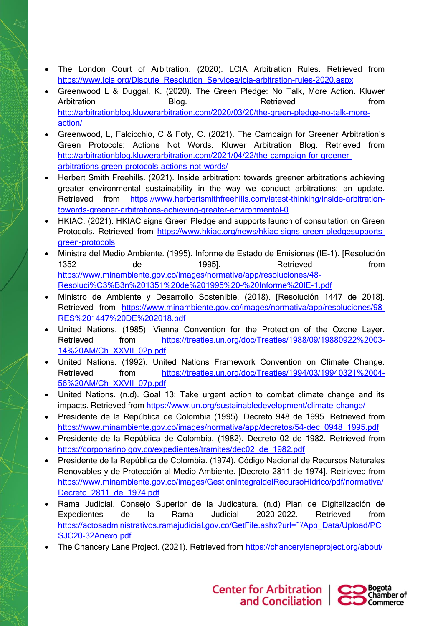- The London Court of Arbitration. (2020). LCIA Arbitration Rules. Retrieved from [https://www.lcia.org/Dispute\\_Resolution\\_Services/lcia-arbitration-rules-2020.aspx](https://www.lcia.org/Dispute_Resolution_Services/lcia-arbitration-rules-2020.aspx)
- Greenwood L & Duggal, K. (2020). The Green Pledge: No Talk, More Action. Kluwer Arbitration Blog. Retrieved from [http://arbitrationblog.kluwerarbitration.com/2020/03/20/the-green-pledge-no-talk-more](http://arbitrationblog.kluwerarbitration.com/2020/03/20/the-green-pledge-no-talk-more-action/)[action/](http://arbitrationblog.kluwerarbitration.com/2020/03/20/the-green-pledge-no-talk-more-action/)
- Greenwood, L, Falcicchio, C & Foty, C. (2021). The Campaign for Greener Arbitration's Green Protocols: Actions Not Words. Kluwer Arbitration Blog. Retrieved from [http://arbitrationblog.kluwerarbitration.com/2021/04/22/the-campaign-for-greener](http://arbitrationblog.kluwerarbitration.com/2021/04/22/the-campaign-for-greener-arbitrations-green-protocols-actions-not-words/)[arbitrations-green-protocols-actions-not-words/](http://arbitrationblog.kluwerarbitration.com/2021/04/22/the-campaign-for-greener-arbitrations-green-protocols-actions-not-words/)
- Herbert Smith Freehills. (2021). Inside arbitration: towards greener arbitrations achieving greater environmental sustainability in the way we conduct arbitrations: an update. Retrieved from [https://www.herbertsmithfreehills.com/latest-thinking/inside-arbitration](https://www.herbertsmithfreehills.com/latest-thinking/inside-arbitration-towards-greener-arbitrations-achieving-greater-environmental-0)[towards-greener-arbitrations-achieving-greater-environmental-0](https://www.herbertsmithfreehills.com/latest-thinking/inside-arbitration-towards-greener-arbitrations-achieving-greater-environmental-0)
- HKIAC. (2021). HKIAC signs Green Pledge and supports launch of consultation on Green Protocols. Retrieved from [https://www.hkiac.org/news/hkiac-signs-green-pledgesupports](https://www.hkiac.org/news/hkiac-signs-green-pledgesupports-green-protocols)[green-protocols](https://www.hkiac.org/news/hkiac-signs-green-pledgesupports-green-protocols)
- Ministra del Medio Ambiente. (1995). Informe de Estado de Emisiones (IE-1). [Resolución 1352 de 1995]. Retrieved from [https://www.minambiente.gov.co/images/normativa/app/resoluciones/48-](https://www.minambiente.gov.co/images/normativa/app/resoluciones/48-Resoluci%C3%B3n%201351%20de%201995%20-%20Informe%20IE-1.pdf) [Resoluci%C3%B3n%201351%20de%201995%20-%20Informe%20IE-1.pdf](https://www.minambiente.gov.co/images/normativa/app/resoluciones/48-Resoluci%C3%B3n%201351%20de%201995%20-%20Informe%20IE-1.pdf)
- Ministro de Ambiente y Desarrollo Sostenible. (2018). [Resolución 1447 de 2018]. Retrieved from [https://www.minambiente.gov.co/images/normativa/app/resoluciones/98-](https://www.minambiente.gov.co/images/normativa/app/resoluciones/98-RES%201447%20DE%202018.pdf) [RES%201447%20DE%202018.pdf](https://www.minambiente.gov.co/images/normativa/app/resoluciones/98-RES%201447%20DE%202018.pdf)
- United Nations. (1985). Vienna Convention for the Protection of the Ozone Layer. Retrieved from [https://treaties.un.org/doc/Treaties/1988/09/19880922%2003-](https://treaties.un.org/doc/Treaties/1988/09/19880922%2003-14%20AM/Ch_XXVII_02p.pdf) [14%20AM/Ch\\_XXVII\\_02p.pdf](https://treaties.un.org/doc/Treaties/1988/09/19880922%2003-14%20AM/Ch_XXVII_02p.pdf)
- United Nations. (1992). United Nations Framework Convention on Climate Change. Retrieved from [https://treaties.un.org/doc/Treaties/1994/03/19940321%2004-](https://treaties.un.org/doc/Treaties/1994/03/19940321%2004-56%20AM/Ch_XXVII_07p.pdf) [56%20AM/Ch\\_XXVII\\_07p.pdf](https://treaties.un.org/doc/Treaties/1994/03/19940321%2004-56%20AM/Ch_XXVII_07p.pdf)
- United Nations. (n.d). Goal 13: Take urgent action to combat climate change and its impacts. Retrieved from<https://www.un.org/sustainabledevelopment/climate-change/>
- Presidente de la República de Colombia (1995). Decreto 948 de 1995. Retrieved from [https://www.minambiente.gov.co/images/normativa/app/decretos/54-dec\\_0948\\_1995.pdf](https://www.minambiente.gov.co/images/normativa/app/decretos/54-dec_0948_1995.pdf)
- Presidente de la República de Colombia. (1982). Decreto 02 de 1982. Retrieved from https://corponarino.gov.co/expedientes/tramites/dec02\_de\_1982.pdf
- Presidente de la República de Colombia. (1974). Código Nacional de Recursos Naturales Renovables y de Protección al Medio Ambiente. [Decreto 2811 de 1974]. Retrieved from [https://www.minambiente.gov.co/images/GestionIntegraldelRecursoHidrico/pdf/normativa/](https://www.minambiente.gov.co/images/GestionIntegraldelRecursoHidrico/pdf/normativa/Decreto_2811_de_1974.pdf) Decreto 2811 de 1974.pdf
- Rama Judicial. Consejo Superior de la Judicatura. (n.d) Plan de Digitalización de Expedientes de la Rama Judicial 2020-2022. Retrieved from [https://actosadministrativos.ramajudicial.gov.co/GetFile.ashx?url=~/App\\_Data/Upload/PC](https://actosadministrativos.ramajudicial.gov.co/GetFile.ashx?url=~/App_Data/Upload/PCSJC20-32Anexo.pdf) [SJC20-32Anexo.pdf](https://actosadministrativos.ramajudicial.gov.co/GetFile.ashx?url=~/App_Data/Upload/PCSJC20-32Anexo.pdf)
- The Chancery Lane Project. (2021). Retrieved from<https://chancerylaneproject.org/about/>

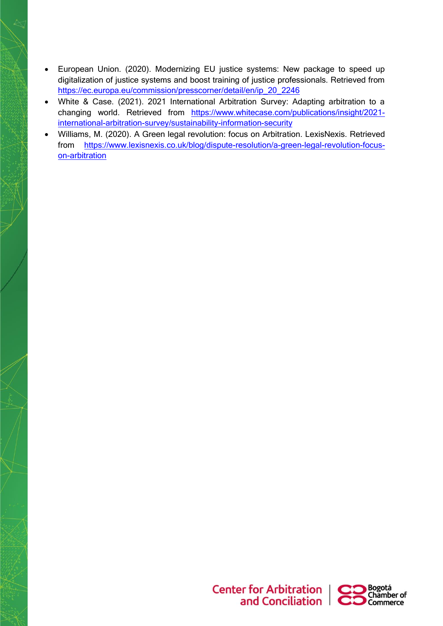- European Union. (2020). Modernizing EU justice systems: New package to speed up digitalization of justice systems and boost training of justice professionals. Retrieved from [https://ec.europa.eu/commission/presscorner/detail/en/ip\\_20\\_2246](https://ec.europa.eu/commission/presscorner/detail/en/ip_20_2246)
- White & Case. (2021). 2021 International Arbitration Survey: Adapting arbitration to a changing world. Retrieved from [https://www.whitecase.com/publications/insight/2021](https://www.whitecase.com/publications/insight/2021-international-arbitration-survey/sustainability-information-security) [international-arbitration-survey/sustainability-information-security](https://www.whitecase.com/publications/insight/2021-international-arbitration-survey/sustainability-information-security)
- Williams, M. (2020). A Green legal revolution: focus on Arbitration. LexisNexis. Retrieved from [https://www.lexisnexis.co.uk/blog/dispute-resolution/a-green-legal-revolution-focus](https://www.lexisnexis.co.uk/blog/dispute-resolution/a-green-legal-revolution-focus-on-arbitration)[on-arbitration](https://www.lexisnexis.co.uk/blog/dispute-resolution/a-green-legal-revolution-focus-on-arbitration)